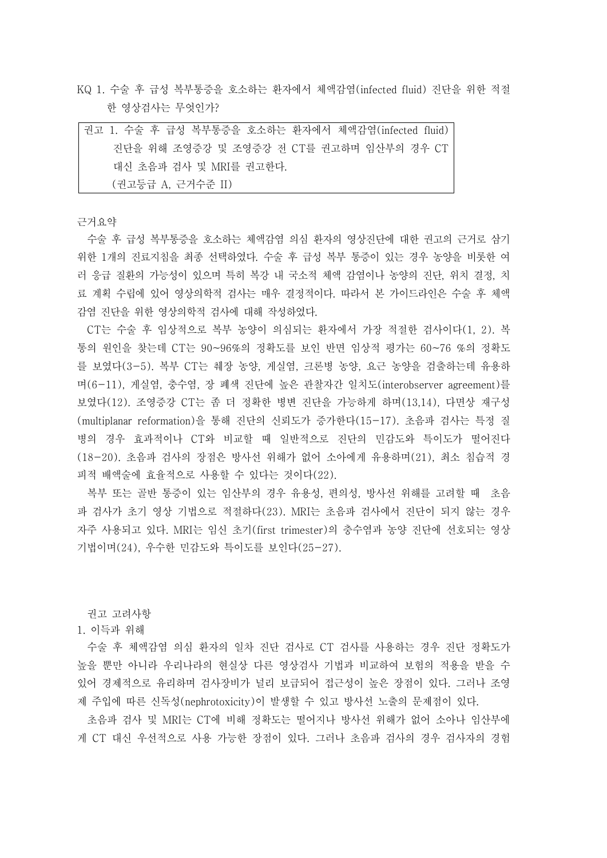KQ 1. 수술 후 급성 복부통증을 호소하는 환자에서 체액감염(infected fluid) 진단을 위한 적절 한 영상검사는 무엇인가?

| 권고 1. 수술 후 급성 복부통증을 호소하는 환자에서 체액감염(infected fluid) |
|----------------------------------------------------|
| 진단을 위해 조영증강 및 조영증강 전 CT를 권고하며 임산부의 경우 CT           |
| 대신 초음파 검사 및 MRI를 권고하다.                             |
| (권고등급 A, 근거수준 II)                                  |

근거요약

수술 후 급성 복부통증을 호소하는 체액감염 의심 환자의 영상진단에 대한 권고의 근거로 삼기 위한 1개의 진료지침을 최종 선택하였다. 수술 후 급성 복부 통증이 있는 경우 농양을 비롯한 여 러 응급 질환의 가능성이 있으며 특히 복강 내 국소적 체액 감염이나 농양의 진단, 위치 결정, 치 료 계획 수립에 있어 영상의학적 검사는 매우 결정적이다. 따라서 본 가이드라인은 수술 후 체액 감염 진단을 위한 영상의학적 검사에 대해 작성하였다.

CT는 수술 후 임상적으로 복부 농양이 의심되는 환자에서 가장 적절한 검사이다(1, 2). 복 통의 원인을 찾는데 CT는 90~96%의 정확도를 보인 반면 임상적 평가는 60~76 %의 정확도 를 보였다(3-5). 복부 CT는 췌장 농양, 게실염, 크론병 농양, 요근 농양을 검출하는데 유용하 며(6-11), 게실염, 충수염, 장 폐색 진단에 높은 관찰자간 일치도(interobserver agreement)를 보였다(12). 조영증강 CT는 좀 더 정확한 병변 진단을 가능하게 하며(13,14), 다면상 재구성 (multiplanar reformation)을 통해 진단의 신뢰도가 증가한다(15-17). 초음파 검사는 특정 질 병의 경우 효과적이나 CT와 비교할 때 일반적으로 진단의 민감도와 특이도가 떨어진다 (18-20). 초음파 검사의 장점은 방사선 위해가 없어 소아에게 유용하며(21), 최소 침습적 경 피적 배액술에 효율적으로 사용할 수 있다는 것이다(22).

복부 또는 골반 통증이 있는 임산부의 경우 유용성, 편의성, 방사선 위해를 고려할 때 초음 파 검사가 초기 영상 기법으로 적절하다(23). MRI는 초음파 검사에서 진단이 되지 않는 경우 자주 사용되고 있다. MRI는 임신 초기(first trimester)의 충수염과 농양 진단에 선호되는 영상 기법이며(24), 우수한 민감도와 특이도를 보인다(25-27).

권고 고려사항

1. 이득과 위해

수술 후 체액감염 의심 환자의 일차 진단 검사로 CT 검사를 사용하는 경우 진단 정확도가 높을 뿐만 아니라 우리나라의 현실상 다른 영상검사 기법과 비교하여 보험의 적용을 받을 수 있어 경제적으로 유리하며 검사장비가 널리 보급되어 접근성이 높은 장점이 있다. 그러나 조영 제 주입에 따른 신독성(nephrotoxicity)이 발생할 수 있고 방사선 노출의 문제점이 있다.

초음파 검사 및 MRI는 CT에 비해 정확도는 떨어지나 방사선 위해가 없어 소아나 임산부에 게 CT 대신 우선적으로 사용 가능한 장점이 있다. 그러나 초음파 검사의 경우 검사자의 경험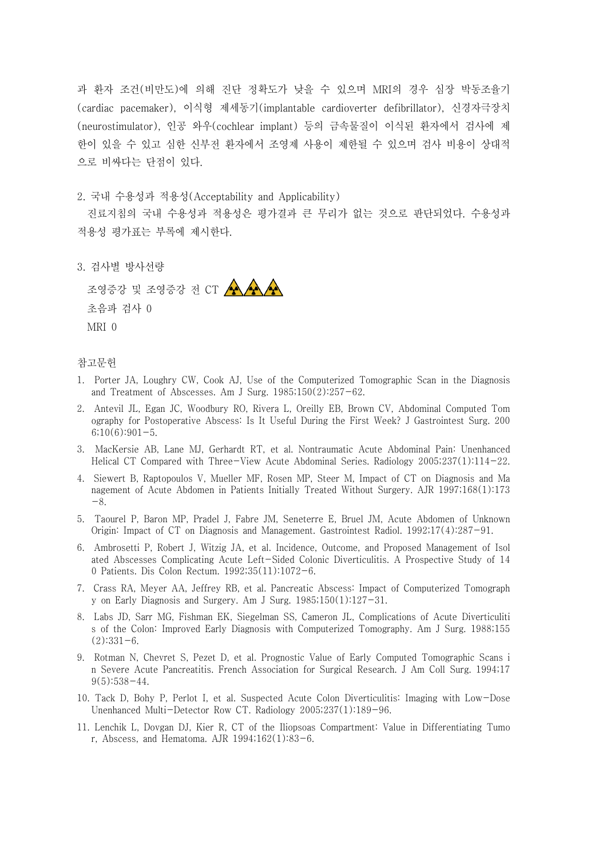과 환자 조건(비만도)에 의해 진단 정확도가 낮을 수 있으며 MRI의 경우 심장 박동조율기 (cardiac pacemaker), 이식형 제세동기(implantable cardioverter defibrillator), 신경자극장치 (neurostimulator), 인공 와우(cochlear implant) 등의 금속물질이 이식된 환자에서 검사에 제 한이 있을 수 있고 심한 신부전 환자에서 조영제 사용이 제한될 수 있으며 검사 비용이 상대적 으로 비싸다는 단점이 있다.

2. 국내 수용성과 적용성(Acceptability and Applicability)

진료지침의 국내 수용성과 적용성은 평가결과 큰 무리가 없는 것으로 판단되었다. 수용성과 적용성 평가표는 부록에 제시한다.

3. 검사별 방사선량

조영증강 및 조영증강 전 CT AAAA 초음파 검사 0 MRI 0

## 참고문헌

- 1. Porter JA, Loughry CW, Cook AJ, Use of the Computerized Tomographic Scan in the Diagnosis and Treatment of Abscesses. Am J Surg. 1985;150(2):257-62.
- 2. Antevil JL, Egan JC, Woodbury RO, Rivera L, Oreilly EB, Brown CV, Abdominal Computed Tom ography for Postoperative Abscess: Is It Useful During the First Week? J Gastrointest Surg. 200  $6;10(6):901-5.$
- 3. MacKersie AB, Lane MJ, Gerhardt RT, et al. Nontraumatic Acute Abdominal Pain: Unenhanced Helical CT Compared with Three-View Acute Abdominal Series. Radiology 2005;237(1):114-22.
- 4. Siewert B, Raptopoulos V, Mueller MF, Rosen MP, Steer M, Impact of CT on Diagnosis and Ma nagement of Acute Abdomen in Patients Initially Treated Without Surgery. AJR 1997;168(1):173 -8.
- 5. Taourel P, Baron MP, Pradel J, Fabre JM, Seneterre E, Bruel JM, Acute Abdomen of Unknown Origin: Impact of CT on Diagnosis and Management. Gastrointest Radiol. 1992;17(4):287-91.
- 6. Ambrosetti P, Robert J, Witzig JA, et al. Incidence, Outcome, and Proposed Management of Isol ated Abscesses Complicating Acute Left-Sided Colonic Diverticulitis. A Prospective Study of 14 0 Patients. Dis Colon Rectum. 1992;35(11):1072-6.
- 7. Crass RA, Meyer AA, Jeffrey RB, et al. Pancreatic Abscess: Impact of Computerized Tomograph y on Early Diagnosis and Surgery. Am J Surg. 1985;150(1):127-31.
- 8. Labs JD, Sarr MG, Fishman EK, Siegelman SS, Cameron JL, Complications of Acute Diverticuliti s of the Colon: Improved Early Diagnosis with Computerized Tomography. Am J Surg. 1988;155  $(2):331-6.$
- 9. Rotman N, Chevret S, Pezet D, et al. Prognostic Value of Early Computed Tomographic Scans i n Severe Acute Pancreatitis. French Association for Surgical Research. J Am Coll Surg. 1994;17 9(5):538-44.
- 10. Tack D, Bohy P, Perlot I, et al. Suspected Acute Colon Diverticulitis: Imaging with Low-Dose Unenhanced Multi-Detector Row CT. Radiology 2005;237(1):189-96.
- 11. Lenchik L, Dovgan DJ, Kier R, CT of the Iliopsoas Compartment: Value in Differentiating Tumo r, Abscess, and Hematoma. AJR 1994;162(1):83-6.